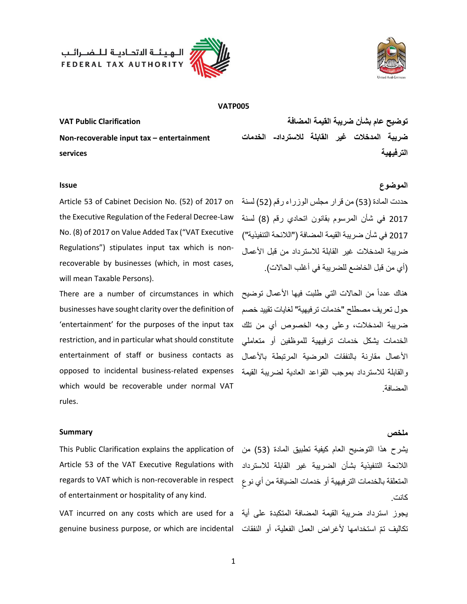



**VATP005**

**Non-recoverable input tax – entertainment services**

Article 53 of Cabinet Decision No. (52) of 2017 on the Executive Regulation of the Federal Decree-Law No. (8) of 2017 on Value Added Tax ("VAT Executive Regulations") stipulates input tax which is nonrecoverable by businesses (which, in most cases, will mean Taxable Persons).

There are a number of circumstances in which businesses have sought clarity over the definition of 'entertainment' for the purposes of the input tax restriction, and in particular what should constitute entertainment of staff or business contacts as opposed to incidental business-related expenses which would be recoverable under normal VAT rules.

## **Summary ملخص**

This Public Clarification explains the application of Article 53 of the VAT Executive Regulations with regards to VAT which is non-recoverable in respect of entertainment or hospitality of any kind.

VAT incurred on any costs which are used for a

**توضيح عام بشأن ضريبة القيمة المضافة Clarification Public VAT ضريبة المدخالت غير القابلة لالسترداد- الخدمات الترفيهية**

### **Issue الموضوع**

حددت المادة )53( من قرار مجلس الوزراء رقم )52( لسنة 2017 في شأن المرسوم بقانون اتحادي رقم )8( لسنة 2017 في شأن ضريبة القيمة المضافة )"الالئحة التنفيذية"( ضر ببة المدخلات غير القابلة للاستر داد من قبل الأعمال )أي من قبل الخاضع للضريبة في أغلب الحاالت(.

هناك عدداً من الحالات التي طلبت فيها الأعمال توضيح حول تعريف مصطلح "خدمات ترفيهية" لغايات تقييد خصم ضريبة المدخالت، وعلى وجه الخصوص أي من تلك الخدمات يشكل خدمات ترفيهية للموظفين أو متعاملي الأعمال مقارنة بالنفقات العرضية المرتبطة بالأعمال والقابلة لالسترداد بموجب القواعد العادية لضريبة القيمة المضافة.

يشرح هذا التوضيح العام كيفية تطبيق المادة )53( من الالئحة التنفيذية بشأن الضريبة غير القابلة لالسترداد ٍ المتعلقة بالخدمات الترفيهية أو خدمات الضيافة من أي نوع كانت.

يجوز استرداد ضريبة القيمة المضافة المتكبدة على أية تكاليف تمّ استخدامها لأغراض العمل الفعلية، أو النفقات genuine business purpose, or which are incidental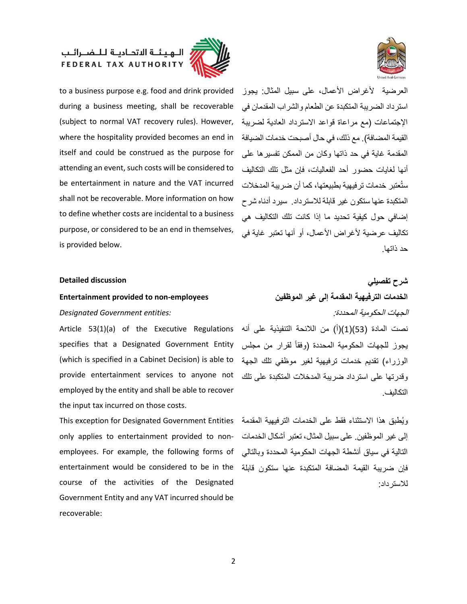

to a business purpose e.g. food and drink provided during a business meeting, shall be recoverable (subject to normal VAT recovery rules). However, where the hospitality provided becomes an end in itself and could be construed as the purpose for attending an event, such costs will be considered to be entertainment in nature and the VAT incurred shall not be recoverable. More information on how to define whether costs are incidental to a business purpose, or considered to be an end in themselves, is provided below.

Article 53(1)(a) of the Executive Regulations specifies that a Designated Government Entity (which is specified in a Cabinet Decision) is able to provide entertainment services to anyone not employed by the entity and shall be able to recover the input tax incurred on those costs.

فإن ضريبة القيمة المضافة المتكبدة عنها ستكون قابلة entertainment would be considered to be in the This exception for Designated Government Entities only applies to entertainment provided to nonemployees. For example, the following forms of course of the activities of the Designated Government Entity and any VAT incurred should be recoverable:



**شرح تفصيلي discussion Detailed الخدمات الترفيهية المقدمة إلى غير الموظفين employees-non to provided Entertainment** الجهات الحكومية المحددة: *:entities Government Designated*

> نصت المادة )53()1()أ( من الالئحة التنفيذية على أنه يجوز للجهات الحكومية المحددة (وفقاً لقرار من مجلس الوزراء) تقديم خدمات ترفيهية لغير موظفي تلك الجهة وقدرتها على استرداد ضريبة المدخالت المتكبدة على تلك التكاليف.

> ويُطبق هذا االستثناء فقط على الخدمات الترفيهية المقدمة إلى غير الموظفين. على سبيل المثال، تعتبر أشكال الخدمات التالية في سياق أنشطة الجهات الحكومية المحددة وبالتالي لالسترداد:

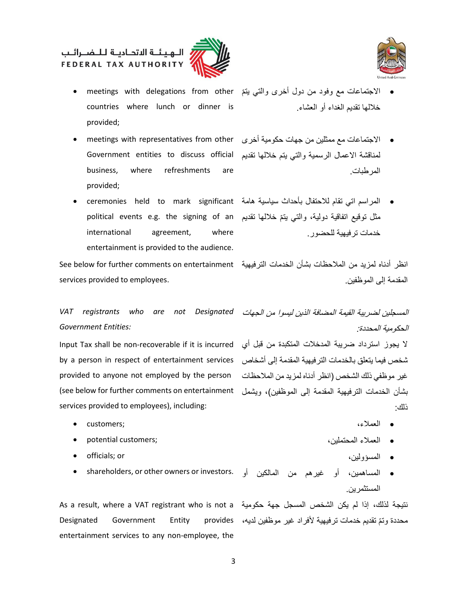

- ّم االجتماعات مع وفود من دول أخرى والتي يت meetings with delegations from other countries where lunch or dinner is provided;
- االجتماعات مع ممثلين من جهات حكومية أخرى meetings with representatives from other لمناقشة الاعمال الرسمية والتي يتم خلالها تقديم Government entities to discuss official business, where refreshments are provided;
- المراسم اتي تقام لالحتفال بأحداث سياسية هامة ceremonies held to mark significant مثل توقيع اتفاقية دولية، والتي ينمّ خلالها تقديم political events e.g. the signing of an international agreement, where entertainment is provided to the audience.

انظر أدناه لمزيد من المالحظات بشأن الخدمات الترفيهية See below for further comments on entertainment services provided to employees.

## *VAT* registrants who are not *Government Entities:*

ال يجوز استرداد ضريبة المدخالت المتكبدة من قبل أي Input Tax shall be non-recoverable if it is incurred شخص فيما يتعلق بالخدمات الترفيهية المقدمة إلى أشخاص by a person in respect of entertainment services غير موظفي ذلك الشخص (انظر أدناه لمزيد من الملاحظات provided to anyone not employed by the person بشأن الخدمات الترفيهية المقدمة إلى الموظفين(، ويشمل (see below for further comments on entertainment services provided to employees), including:

- customers;
- potential customers;
- **•** officials; or
- 

نتيجة لذلك، إذا لم يكن الشخص المسجل جهة حكومية As a result, where a VAT registrant who is not a Designated Government Entity entertainment services to any non-employee, the



- خاللها تقديم الغداء أو العشاء.
- المرطبات.
- خدمات ترفيهية للحضور.

المقدمة إلى الموظفين.

المسجلين لضريبة القيمة المضافة الذين ليسوا من الجهات الحكومية المحددة:

ذلك:

- العمالء،
- العمالء المحتملين،
	- المسؤولين،
- المساهمين، أو غيرهم من المالكين أو shareholders, or other owners or investors. المستثمرين.

محددة وتمّ تقديم خدمات ترفيهية لأفراد غير موظفين لديه،

3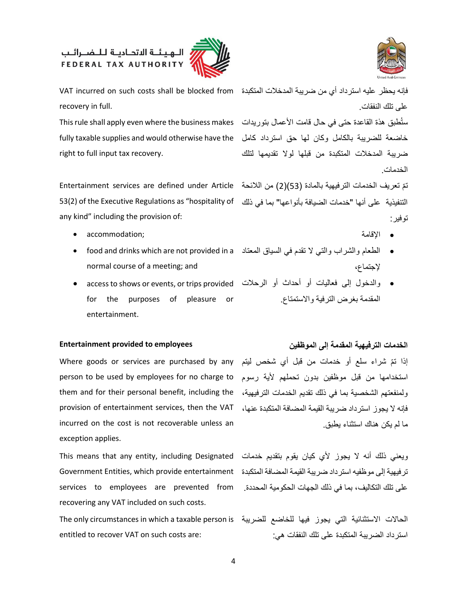

فإنه يحظر عليه استرداد أي من ضريبة المدخالت المتكبدة VAT incurred on such costs shall be blocked from recovery in full.

ستُطبق هذة القاعدة حتى في حال قامت األعمال بتوريدات This rule shall apply even where the business makes خاضعة للضريبة بالكامل وكان لها حق استرداد كامل fully taxable supplies and would otherwise have the right to full input tax recovery.

تمّ تعريف الخدمات الترفيهية بالمادة (25()2) من اللائحة Entertainment services are defined under Article التنفيذية على أنها "خدمات الضيافة بأنواعها" بما في ذلك 53(2) of the Executive Regulations as "hospitality of any kind" including the provision of:

- accommodation; اإلقامة
- الطعام والشراب والتي ال تقدم في السياق المعتاد food and drinks which are not provided in a normal course of a meeting; and
- والدخول إلى فعاليات أو أحداث أو الرحالت access to shows or events, or trips provided for the purposes of pleasure or entertainment.

### **الخدمات الترفيهية المقدمة إلى الموظفين employees to provided Entertainment**

لذا تمّ شراء سلع أو خدمات من قبل أي شخص ليتم Where goods or services are purchased by any استخدامها من قبل موظفين بدون تحملهم ألية رسوم person to be used by employees for no charge to ولمنفعتهم الشخصية بما في ذلك تقديم الخدمات الترفيهية، them and for their personal benefit, including the provision of entertainment services, then the VAT incurred on the cost is not recoverable unless an exception applies.

ويعني ذلك أنه ال يجوز ألي كيان يقوم بتقديم خدمات This means that any entity, including Designated ترفيهية إلى موظفيه استرداد ضريبة القيمة المضافة المتكبدة Government Entities, which provide entertainment على تلك التكاليف، بما في ذلك الجهات الحكومية المحددة. services to employees are prevented from recovering any VAT included on such costs.

entitled to recover VAT on such costs are:



على تلك النفقات.

ضريبة المدخالت المتكبدة من قبلها لوال تقديمها لتلك الخدمات.

توفير:

- 
- إلجتماع،
- المقدمة بغرض الترفية واالستمتاع.

فإنه ال يجوز استرداد ضريبة القيمة المضافة المتكبدة عنها، ما لم يكن هناك استثناء يطبق.

الحاالت االستثنائية التي يجوز فيها للخاضع للضريبة The only circumstances in which a taxable person is استرداد الضريبة المتكبدة على تلك النفقات هي: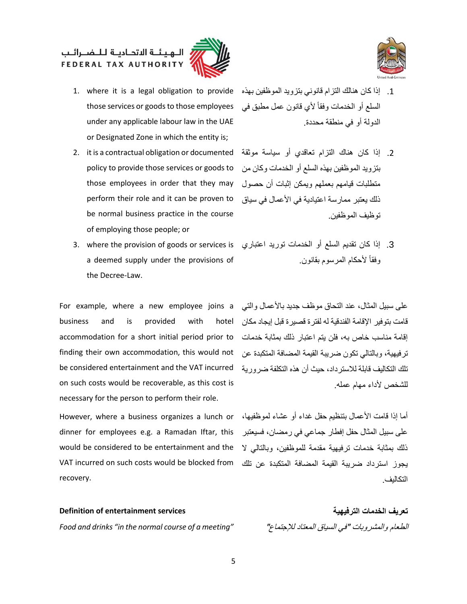



- .1 إذا كان هنالك التزام قانوني بتزويد الموظفين بهذه 1. where it is a legal obligation to provide those services or goods to those employees under any applicable labour law in the UAE or Designated Zone in which the entity is;
- 2. it is a contractual obligation or documented policy to provide those services or goods to those employees in order that they may perform their role and it can be proven to be normal business practice in the course of employing those people; or
- .3 إذا كان تقديم السلع أو الخدمات توريد اعتباري 3. where the provision of goods or services is a deemed supply under the provisions of the Decree-Law.

على سبيل المثال، عند التحاق موظف جديد بالأعمال والتي For example, where a new employee joins a إقامة مناسب خاص به، فلن يتم اعتبار ذلك بمثابة خدمات accommodation for a short initial period prior to business and is provided with finding their own accommodation, this would not be considered entertainment and the VAT incurred on such costs would be recoverable, as this cost is necessary for the person to perform their role.

However, where a business organizes a lunch or dinner for employees e.g. a Ramadan Iftar, this would be considered to be entertainment and the VAT incurred on such costs would be blocked from recovery.

## **Definition of entertainment services الترفيهية الخدمات تعريف**

*Food and drinks "in the normal course of a meeting" " "الطعام والمشروبات "في السياق المعتاد للإجتماع"* 

- السلع أو الخدمات وفقاً ألي قانون عمل مطبق في الدولة أو في منطقة محددة.
- .2 إذا كان هناك التزام تعاقدي أو سياسة موثقة بتزويد الموظفين بهذه السلع أو الخدمات وكان من متطلبات قيامهم بعملهم ويمكن إثبات أن حصول ذلك يعتبر ًممار سة اعتبادية في الأعمال في سياق توظيف الموظفين.
- وفقاً لأحكام المرسوم بقانون.

قامت بتوفير اإلقامة الفندقية له لفترة قصيرة قبل إيجاد مكان ترفيهية، وبالتالي تكون ضريبة القيمة المضافة المتكبدة عن تلك التكاليف قابلة لالسترداد، حيث أن هذه التكلفة ضرورية للشخص لأداء مهام عمله.

> أما إذا قامت الأعمال بتنظيم حفل غداء أو عشاء لموظفيها، على سبيل المثال حفل إفطار جماعي في رمضان، فسيعتبر ذلك بمثابة خدمات ترفيهية مقدمة للموظفين، وبالتالي ال يجوز استرداد ضريبة القيمة المضافة المتكبدة عن تلك التكاليف.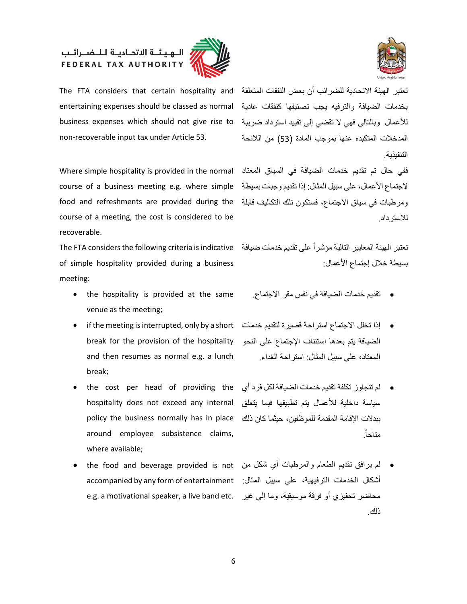

The FTA considers that certain hospitality and entertaining expenses should be classed as normal business expenses which should not give rise to non-recoverable input tax under Article 53.

الجتماع األعمال، على سبيل المثال: إذا تقديم وجبات بسيطة course of a business meeting e.g. where simple ومرطبات في سياق الاجتماع، فستكون تلك التكاليف قابلة food and refreshments are provided during the Where simple hospitality is provided in the normal course of a meeting, the cost is considered to be recoverable.

of simple hospitality provided during a business meeting:

- the hospitality is provided at the same .االجتماع مقر نفس في الضيافة خدمات تقديم venue as the meeting;
- إذا تخلل االجتماع استراحة قصيرة لتقديم خدمات if the meeting is interrupted, only by a short الضيافة يتم بعدها استئناف اإلجتماع على النحو break for the provision of the hospitality and then resumes as normal e.g. a lunch break;
- لم تتجاوز تكلفة تقديم خدمات الضيافة لكل فرد أي the cost per head of providing the سياسة داخلية لألعمال يتم تطبيقها فيما يتعلق hospitality does not exceed any internal ببدالت اإلقامة المقدمة للموظفين، حيثما كان ذلك policy the business normally has in place around employee subsistence claims, where available;
- لم يرافق تقديم الطعام والمرطبات أي شكل من the food and beverage provided is not أشكال الخدمات الترفيهية، على سبيل المثال: accompanied by any form of entertainment محاضر تحفيزي أو فرقة موسيقية، وما إلى غير e.g. a motivational speaker, a live band etc.



تعتبر الهيئة االتحادية للضرائب أن بعض النفقات المتعلقة بخدمات الضيافة والترفيه يجب تصنيفها كنفقات عادية لألعمال وبالتالي فهي ال تقضي إلى تقييد استرداد ضريبة المدخلات المتكبده عنها بموجب المادة (53) من اللائحة التنفيذية.

ففي حال تم تقديم خدمات الضيافة في السياق المعتاد لالسترداد.

تعتبر الهيئة المعايير التالية مؤشراً على تقديم خدمات ضيافة The FTA considers the following criteria is indicative بسبطة خلال إجتماع الأعمال:

- 
- المعتاد، على سبيل المثال: استراحة الغداء.
- . متاحاً
- ذلك.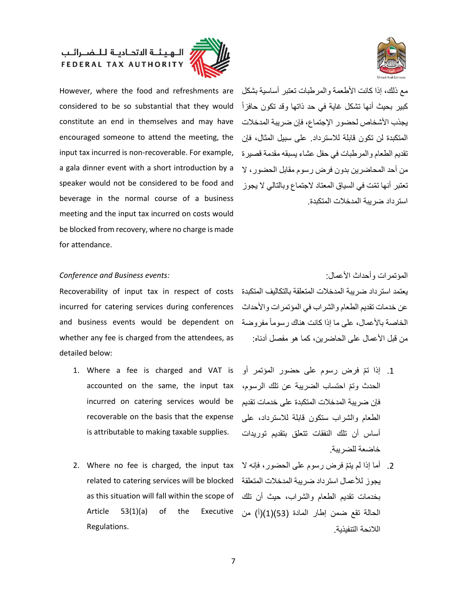

However, where the food and refreshments are considered to be so substantial that they would constitute an end in themselves and may have encouraged someone to attend the meeting, the input tax incurred is non-recoverable. For example, a gala dinner event with a short introduction by a speaker would not be considered to be food and beverage in the normal course of a business meeting and the input tax incurred on costs would be blocked from recovery, where no charge is made for attendance.



مع ذلك، إذا كانت الأطعمة والمرطبات تعتبر أساسية بشكل كبير بحيث أنها تشكل غاية في حد ذاتها وقد تكون حافزاً يجذب الأشخاص لحضور الإجتماع، فإن ضريبة المدخلات المتكبدة لن تكون قابلة لالسترداد. على سبيل المثال، فإن تقديم الطعام والمرطبات في حفل عشاء يسبقه مقدمة قصيرة من أحد المحاضرين بدون فرض رسوم مقابل الحضور، ال تعتبر أنها تمّت في السياق المعتاد لاجتماع وبالتالي لا يجوز استرداد ضريبة المدخالت المتكبدة.

## *Conference and Business events:* :األعمال وأحداث المؤتمرات

الخاصة باألعمال، على ما إذا كانت هناك رسوماً مفروضة and business events would be dependent on Recoverability of input tax in respect of costs incurred for catering services during conferences whether any fee is charged from the attendees, as detailed below:

- accounted on the same, the input tax ، الحدث وتمّ احتساب الضريبة عن تلك الرسوم، فإن ضريبة المدخالت المتكبدة على خدمات تقديم incurred on catering services would be 1. Where a fee is charged and VAT is recoverable on the basis that the expense is attributable to making taxable supplies.
- 2. Where no fee is charged, the input tax related to catering services will be blocked as this situation will fall within the scope of Article 53(1)(a) of the Executive Regulations.

يعتمد استرداد ضريبة المدخالت المتعلقة بالتكاليف المتكبدة عن خدمات تقديم الطعام والشراب في المؤتمرات واألحداث من قبل األعمال على الحاضرين، كما هو مفصل آدناه:

- ّم فرض رسوم على حضور المؤتمر أو .1 إذا ت الطعام والشراب ستكون قابلة لالسترداد، على أساس أن تلك النفقات تتعلق بتقديم توريدات خاضعة للضريبة.
- 2. أما إذا لم يتمّ فرض رسوم على الحضور، فإنه لا يجوز لألعمال استرداد ضريبة المدخالت المتعلقة بخدمات تقديم الطعام والشراب، حيث أن تلك الحالة تقع ضمن إطار المادة )53()1()أ( من الالئحة التنفيذية.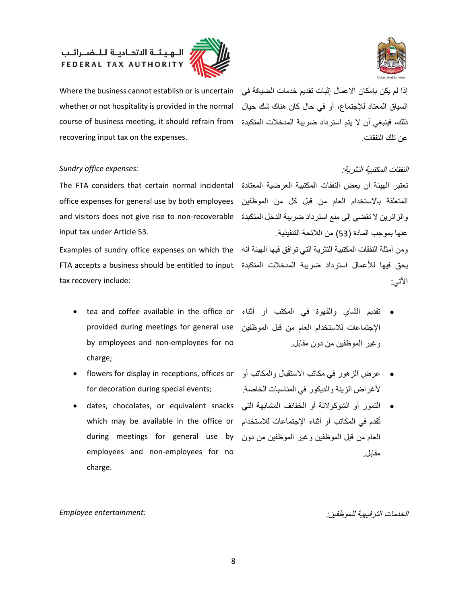

إذا لم يكن بإمكان الاعمال إثبات تقديم خدمات الضيافة في Where the business cannot establish or is uncertain ذلك، فينبغي أن ال يتم استرداد ضريبة المدخالت المتكبدة course of business meeting, it should refrain from whether or not hospitality is provided in the normal recovering input tax on the expenses.

## *:expenses office Sundry* النفقات المكتبية النثرية:

تعتبر الهيئة أن بعض النفقات المكتبية العرضية المعتادة The FTA considers that certain normal incidental والزائرين ال تقضي إلى منع استرداد ضريبة الدخل المتكبدة and visitors does not give rise to non-recoverable office expenses for general use by both employees input tax under Article 53.

يحق فيها لألعمال استرداد ضريبة المدخالت المتكبدة FTA accepts a business should be entitled to input Examples of sundry office expenses on which the tax recovery include:

- اإلجتماعات لالستخدام العام من قبل الموظفين provided during meetings for general use tea and coffee available in the office or by employees and non-employees for no charge;
- flowers for display in receptions, offices or for decoration during special events;
- التمور أو الشوكوالتة أو الخفائف المشابهة التي dates, chocolates, or equivalent snacks تُقدم في المكاتب أو أثناء اإلجتماعات لالستخدام which may be available in the office or during meetings for general use by employees and non-employees for no charge.

السياق المعتاد لإلجتماع، أو في حال كان هناك شك حيال عن تلك النفقات.

المتعلقة باالستخدام العام من قبل كل من الموظفين عنها بموجب المادة (53) من اللائحة التنفيذية.

ومن أمثلة النفقات المكتبية النثرية التي توافق فيها الهيئة أنه الآتي:

- تقديم الشاي والقهوة في المكتب أو أثناء وغير الموظفين من دون مقابل.
- عرض الزهور في مكاتب االستقبال والمكاتب أو ألغراض الزينة والديكور في المناسبات الخاصة.
- العام من قبل الموظفين وغير الموظفين من دون مقابل.

### الخدمات الترفيهية للموظفين:

*Employee entertainment:*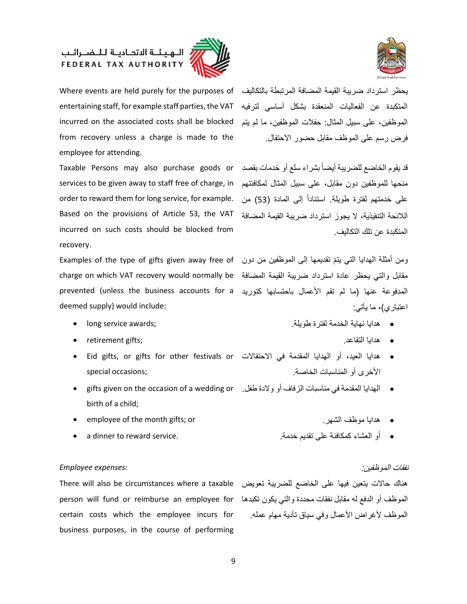

يحظر استرداد ضريبة القيمة المضافة المرتبطة بالتكاليف Where events are held purely for the purposes of entertaining staff, for example staff parties, the VAT incurred on the associated costs shall be blocked from recovery unless a charge is made to the employee for attending.

منحها للموظفين دون مقابل، على سبيل المثال لمكافئتهم services to be given away to staff free of charge, in على خدمتهم لفترة طويلة. استناداً إلى المادة (53) من .order to reward them for long service, for example Based on the provisions of Article 53, the VAT incurred on such costs should be blocked from recovery.

ومن أمثلة المهدايا التي يتمّ تقديمها إلى الموظفين من دون Examples of the type of gifts given away free of مقابل والتي يحظر عادة استرداد ضريبة القيمة المضافة charge on which VAT recovery would normally be المدفوعة عنها )ما لم تقم األعمال باحتسابها كتوريد prevented (unless the business accounts for a deemed supply) would include:

- 
- retirement gifts; .التقاعد هدايا
- هدايا العيد، أو الهدايا المقدمة في االحتفاالت Eid gifts, or gifts for other festivals or األخرى أو المناسبات الخاصة. special occasions;
- gifts given on the occasion of a wedding or .طفل والدة أو الزفاف مناسبات في المقدمة الهدايا birth of a child;
- employee of the month gifts; or .الشهر موظف هدايا
- a dinner to reward service. .خدمة تقديم على كمكافئة العشاء أو

## نفقات الموظفين: *:expenses Employee*

هناك حاالت يتعين فيها على الخاضع للضريبة تعويض There will also be circumstances where a taxable الموظف أو الدفع له مقابل نفقات محددة والتي يكون تكبدها person will fund or reimburse an employee for certain costs which the employee incurs for business purposes, in the course of performing



المتكبدة عن الفعاليات المنعقدة بشكل أساسي لترفيه الموظفين، على سبيل المثال: حفالت الموظفين، ما لم يتم فرض رسم على الموظف مقابل حضور االحتفال.

قد يقوم الخاضع للضريبة أيضاً بشراء سلع أو خدمات بقصد Taxable Persons may also purchase goods or الالئحة التنفيذية، ال يجوز استرداد ضريبة القيمة المضافة المتكبدة عن تلك التكاليف.

اعتباري(، ما يأتي:

- هدايا نهاية الخدمة لفترة طويلة. ;awards service long
	-
	- - -
			-

الموظف لأغراض الأعمال وفي سياق تأدية مهام عمله.